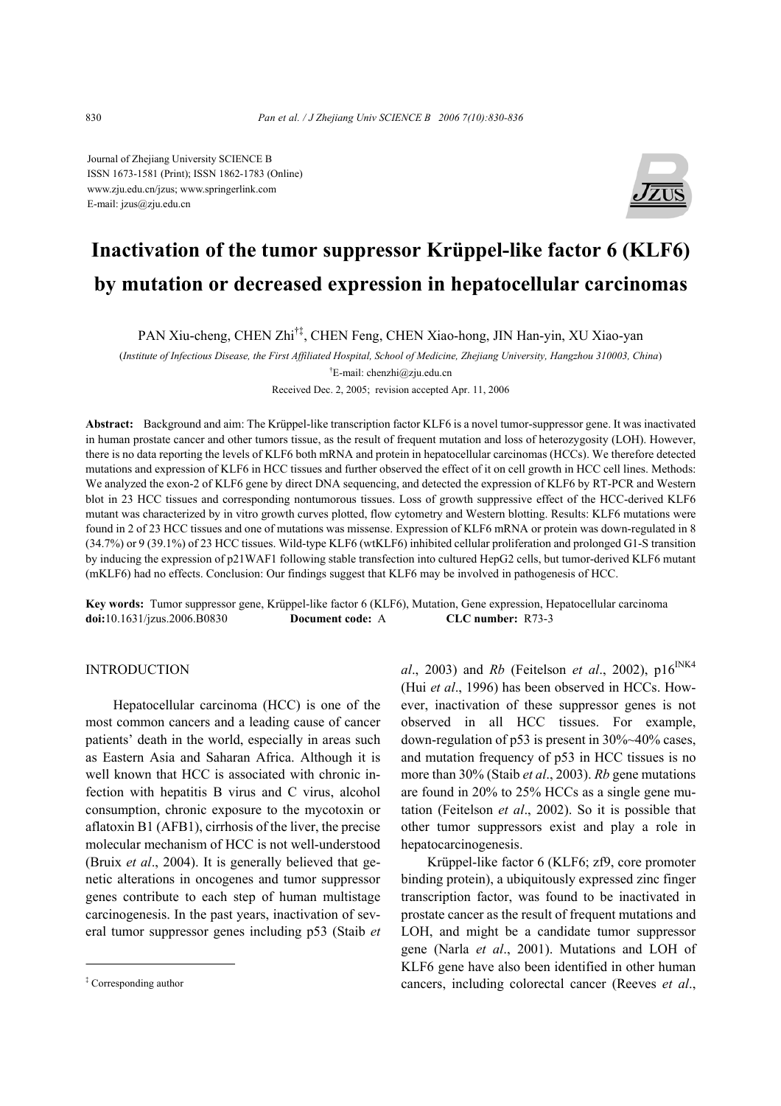Journal of Zhejiang University SCIENCE B ISSN 1673-1581 (Print); ISSN 1862-1783 (Online) www.zju.edu.cn/jzus; www.springerlink.com E-mail: jzus@zju.edu.cn



# **Inactivation of the tumor suppressor Krüppel-like factor 6 (KLF6) by mutation or decreased expression in hepatocellular carcinomas**

PAN Xiu-cheng, CHEN Zhi†‡, CHEN Feng, CHEN Xiao-hong, JIN Han-yin, XU Xiao-yan

(*Institute of Infectious Disease, the First Affiliated Hospital, School of Medicine, Zhejiang University, Hangzhou 310003, China*)

† E-mail: chenzhi@zju.edu.cn

Received Dec. 2, 2005; revision accepted Apr. 11, 2006

**Abstract:** Background and aim: The Krüppel-like transcription factor KLF6 is a novel tumor-suppressor gene. It was inactivated in human prostate cancer and other tumors tissue, as the result of frequent mutation and loss of heterozygosity (LOH). However, there is no data reporting the levels of KLF6 both mRNA and protein in hepatocellular carcinomas (HCCs). We therefore detected mutations and expression of KLF6 in HCC tissues and further observed the effect of it on cell growth in HCC cell lines. Methods: We analyzed the exon-2 of KLF6 gene by direct DNA sequencing, and detected the expression of KLF6 by RT-PCR and Western blot in 23 HCC tissues and corresponding nontumorous tissues. Loss of growth suppressive effect of the HCC-derived KLF6 mutant was characterized by in vitro growth curves plotted, flow cytometry and Western blotting. Results: KLF6 mutations were found in 2 of 23 HCC tissues and one of mutations was missense. Expression of KLF6 mRNA or protein was down-regulated in 8 (34.7%) or 9 (39.1%) of 23 HCC tissues. Wild-type KLF6 (wtKLF6) inhibited cellular proliferation and prolonged G1-S transition by inducing the expression of p21WAF1 following stable transfection into cultured HepG2 cells, but tumor-derived KLF6 mutant (mKLF6) had no effects. Conclusion: Our findings suggest that KLF6 may be involved in pathogenesis of HCC.

**Key words:** Tumor suppressor gene, Krüppel-like factor 6 (KLF6), Mutation, Gene expression, Hepatocellular carcinoma **doi:**10.1631/jzus.2006.B0830 **Document code:** A **CLC number:** R73-3

### INTRODUCTION

Hepatocellular carcinoma (HCC) is one of the most common cancers and a leading cause of cancer patients' death in the world, especially in areas such as Eastern Asia and Saharan Africa. Although it is well known that HCC is associated with chronic infection with hepatitis B virus and C virus, alcohol consumption, chronic exposure to the mycotoxin or aflatoxin B1 (AFB1), cirrhosis of the liver, the precise molecular mechanism of HCC is not well-understood (Bruix *et al*., 2004). It is generally believed that genetic alterations in oncogenes and tumor suppressor genes contribute to each step of human multistage carcinogenesis. In the past years, inactivation of several tumor suppressor genes including p53 (Staib *et*   $al$ , 2003) and *Rb* (Feitelson *et al.*, 2002), p16<sup>INK4</sup> (Hui *et al*., 1996) has been observed in HCCs. However, inactivation of these suppressor genes is not observed in all HCC tissues. For example, down-regulation of p53 is present in 30%~40% cases, and mutation frequency of p53 in HCC tissues is no more than 30% (Staib *et al*., 2003). *Rb* gene mutations are found in 20% to 25% HCCs as a single gene mutation (Feitelson *et al*., 2002). So it is possible that other tumor suppressors exist and play a role in hepatocarcinogenesis.

Krüppel-like factor 6 (KLF6; zf9, core promoter binding protein), a ubiquitously expressed zinc finger transcription factor, was found to be inactivated in prostate cancer as the result of frequent mutations and LOH, and might be a candidate tumor suppressor gene (Narla *et al*., 2001). Mutations and LOH of KLF6 gene have also been identified in other human cancers, including colorectal cancer (Reeves *et al*.,

<sup>‡</sup> Corresponding author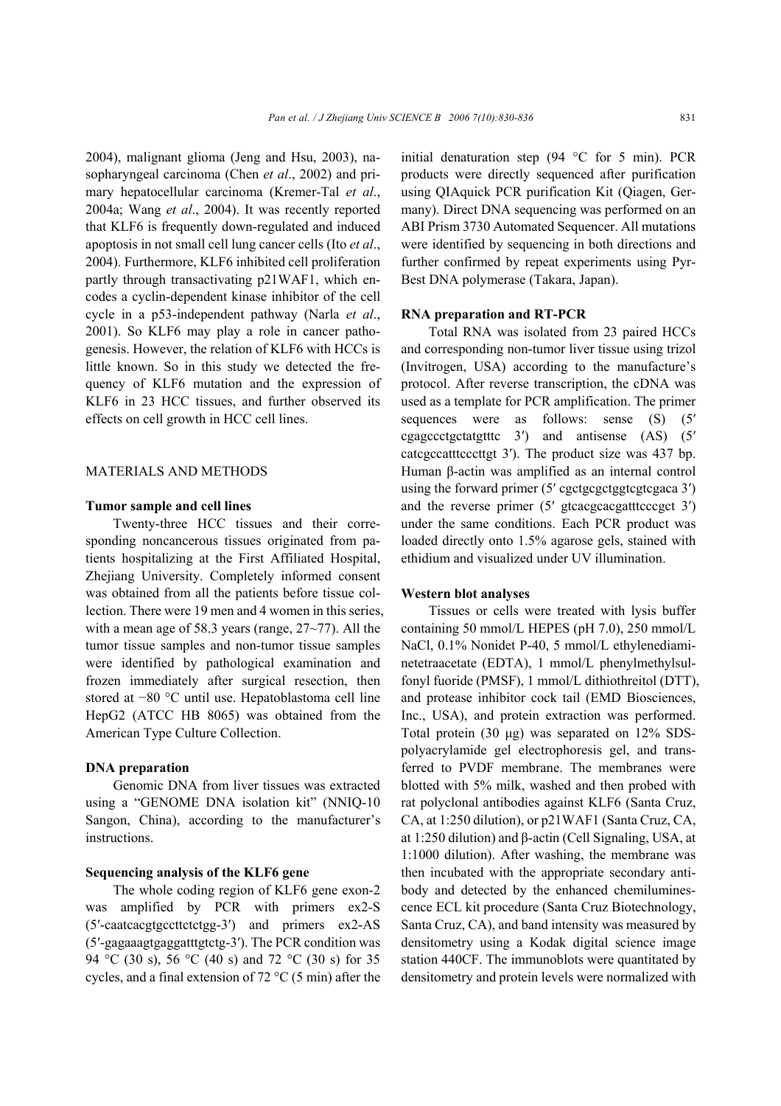2004), malignant glioma (Jeng and Hsu, 2003), nasopharyngeal carcinoma (Chen *et al*., 2002) and primary hepatocellular carcinoma (Kremer-Tal *et al*., 2004a; Wang *et al*., 2004). It was recently reported that KLF6 is frequently down-regulated and induced apoptosis in not small cell lung cancer cells (Ito *et al*., 2004). Furthermore, KLF6 inhibited cell proliferation partly through transactivating p21WAF1, which encodes a cyclin-dependent kinase inhibitor of the cell cycle in a p53-independent pathway (Narla *et al*., 2001). So KLF6 may play a role in cancer pathogenesis. However, the relation of KLF6 with HCCs is little known. So in this study we detected the frequency of KLF6 mutation and the expression of KLF6 in 23 HCC tissues, and further observed its effects on cell growth in HCC cell lines.

#### MATERIALS AND METHODS

#### **Tumor sample and cell lines**

Twenty-three HCC tissues and their corresponding noncancerous tissues originated from patients hospitalizing at the First Affiliated Hospital, Zhejiang University. Completely informed consent was obtained from all the patients before tissue collection. There were 19 men and 4 women in this series, with a mean age of 58.3 years (range, 27~77). All the tumor tissue samples and non-tumor tissue samples were identified by pathological examination and frozen immediately after surgical resection, then stored at −80 °C until use. Hepatoblastoma cell line HepG2 (ATCC HB 8065) was obtained from the American Type Culture Collection.

#### **DNA preparation**

Genomic DNA from liver tissues was extracted using a "GENOME DNA isolation kit" (NNIQ-10 Sangon, China), according to the manufacturer's instructions.

#### **Sequencing analysis of the KLF6 gene**

The whole coding region of KLF6 gene exon-2 was amplified by PCR with primers ex2-S (5′-caatcacgtgccttctctgg-3′) and primers ex2-AS (5′-gagaaagtgaggatttgtctg-3′). The PCR condition was 94 °C (30 s), 56 °C (40 s) and 72 °C (30 s) for 35 cycles, and a final extension of 72 °C (5 min) after the initial denaturation step (94 °C for 5 min). PCR products were directly sequenced after purification using QIAquick PCR purification Kit (Qiagen, Germany). Direct DNA sequencing was performed on an ABI Prism 3730 Automated Sequencer. All mutations were identified by sequencing in both directions and further confirmed by repeat experiments using Pyr-Best DNA polymerase (Takara, Japan).

#### **RNA preparation and RT-PCR**

Total RNA was isolated from 23 paired HCCs and corresponding non-tumor liver tissue using trizol (Invitrogen, USA) according to the manufacture's protocol. After reverse transcription, the cDNA was used as a template for PCR amplification. The primer sequences were as follows: sense (S)  $(5'$ cgagccctgctatgtttc 3′) and antisense (AS) (5′ catcgccatttcccttgt 3′). The product size was 437 bp. Human β-actin was amplified as an internal control using the forward primer  $(5'$  cgctgcgtggtcgtcgaca  $3'$ ) and the reverse primer (5' gtcacgcacgatttcccgct 3') under the same conditions. Each PCR product was loaded directly onto 1.5% agarose gels, stained with ethidium and visualized under UV illumination.

#### **Western blot analyses**

Tissues or cells were treated with lysis buffer containing 50 mmol/L HEPES (pH 7.0), 250 mmol/L NaCl, 0.1% Nonidet P-40, 5 mmol/L ethylenediaminetetraacetate (EDTA), 1 mmol/L phenylmethylsulfonyl fuoride (PMSF), 1 mmol/L dithiothreitol (DTT), and protease inhibitor cock tail (EMD Biosciences, Inc., USA), and protein extraction was performed. Total protein (30 µg) was separated on 12% SDSpolyacrylamide gel electrophoresis gel, and transferred to PVDF membrane. The membranes were blotted with 5% milk, washed and then probed with rat polyclonal antibodies against KLF6 (Santa Cruz, CA, at 1:250 dilution), or p21WAF1 (Santa Cruz, CA, at 1:250 dilution) and β-actin (Cell Signaling, USA, at 1:1000 dilution). After washing, the membrane was then incubated with the appropriate secondary antibody and detected by the enhanced chemiluminescence ECL kit procedure (Santa Cruz Biotechnology, Santa Cruz, CA), and band intensity was measured by densitometry using a Kodak digital science image station 440CF. The immunoblots were quantitated by densitometry and protein levels were normalized with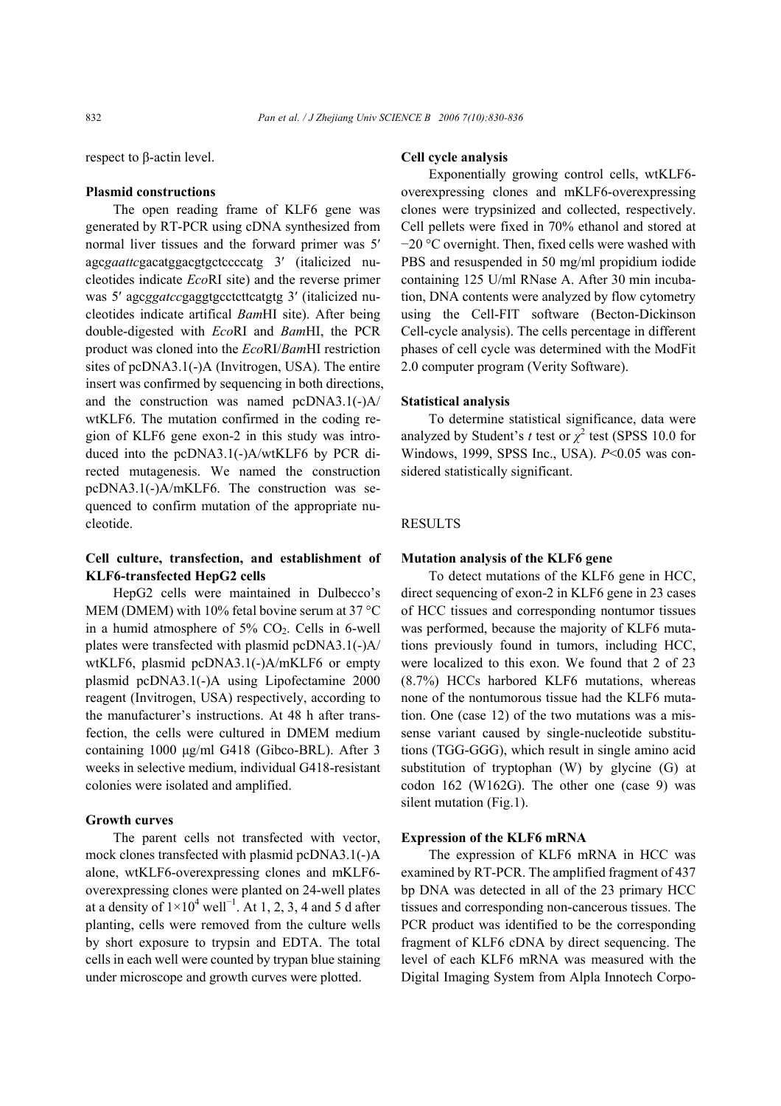respect to β-actin level.

## **Plasmid constructions**

The open reading frame of KLF6 gene was generated by RT-PCR using cDNA synthesized from normal liver tissues and the forward primer was 5′ agc*gaattc*gacatggacgtgctccccatg 3′ (italicized nucleotides indicate *Eco*RI site) and the reverse primer was 5′ agc*ggatcc*gaggtgcctcttcatgtg 3′ (italicized nucleotides indicate artifical *Bam*HI site). After being double-digested with *Eco*RI and *Bam*HI, the PCR product was cloned into the *Eco*RI/*Bam*HI restriction sites of pcDNA3.1(-)A (Invitrogen, USA). The entire insert was confirmed by sequencing in both directions, and the construction was named pcDNA3.1(-)A/ wtKLF6. The mutation confirmed in the coding region of KLF6 gene exon-2 in this study was introduced into the pcDNA3.1(-)A/wtKLF6 by PCR directed mutagenesis. We named the construction pcDNA3.1(-)A/mKLF6. The construction was sequenced to confirm mutation of the appropriate nucleotide.

## **Cell culture, transfection, and establishment of KLF6-transfected HepG2 cells**

HepG2 cells were maintained in Dulbecco's MEM (DMEM) with 10% fetal bovine serum at 37  $^{\circ}$ C in a humid atmosphere of  $5\%$  CO<sub>2</sub>. Cells in 6-well plates were transfected with plasmid pcDNA3.1(-)A/ wtKLF6, plasmid pcDNA3.1(-)A/mKLF6 or empty plasmid pcDNA3.1(-)A using Lipofectamine 2000 reagent (Invitrogen, USA) respectively, according to the manufacturer's instructions. At 48 h after transfection, the cells were cultured in DMEM medium containing 1000 µg/ml G418 (Gibco-BRL). After 3 weeks in selective medium, individual G418-resistant colonies were isolated and amplified.

#### **Growth curves**

The parent cells not transfected with vector, mock clones transfected with plasmid pcDNA3.1(-)A alone, wtKLF6-overexpressing clones and mKLF6 overexpressing clones were planted on 24-well plates at a density of  $1 \times 10^4$  well<sup>-1</sup>. At 1, 2, 3, 4 and 5 d after planting, cells were removed from the culture wells by short exposure to trypsin and EDTA. The total cells in each well were counted by trypan blue staining under microscope and growth curves were plotted.

#### **Cell cycle analysis**

Exponentially growing control cells, wtKLF6 overexpressing clones and mKLF6-overexpressing clones were trypsinized and collected, respectively. Cell pellets were fixed in 70% ethanol and stored at −20 °C overnight. Then, fixed cells were washed with PBS and resuspended in 50 mg/ml propidium iodide containing 125 U/ml RNase A. After 30 min incubation, DNA contents were analyzed by flow cytometry using the Cell-FIT software (Becton-Dickinson Cell-cycle analysis). The cells percentage in different phases of cell cycle was determined with the ModFit 2.0 computer program (Verity Software).

#### **Statistical analysis**

To determine statistical significance, data were analyzed by Student's *t* test or  $\chi^2$  test (SPSS 10.0 for Windows, 1999, SPSS Inc., USA). *P*<0.05 was considered statistically significant.

### RESULTS

#### **Mutation analysis of the KLF6 gene**

To detect mutations of the KLF6 gene in HCC, direct sequencing of exon-2 in KLF6 gene in 23 cases of HCC tissues and corresponding nontumor tissues was performed, because the majority of KLF6 mutations previously found in tumors, including HCC, were localized to this exon. We found that 2 of 23 (8.7%) HCCs harbored KLF6 mutations, whereas none of the nontumorous tissue had the KLF6 mutation. One (case 12) of the two mutations was a missense variant caused by single-nucleotide substitutions (TGG-GGG), which result in single amino acid substitution of tryptophan (W) by glycine (G) at codon 162 (W162G). The other one (case 9) was silent mutation (Fig.1).

#### **Expression of the KLF6 mRNA**

The expression of KLF6 mRNA in HCC was examined by RT-PCR. The amplified fragment of 437 bp DNA was detected in all of the 23 primary HCC tissues and corresponding non-cancerous tissues. The PCR product was identified to be the corresponding fragment of KLF6 cDNA by direct sequencing. The level of each KLF6 mRNA was measured with the Digital Imaging System from Alpla Innotech Corpo-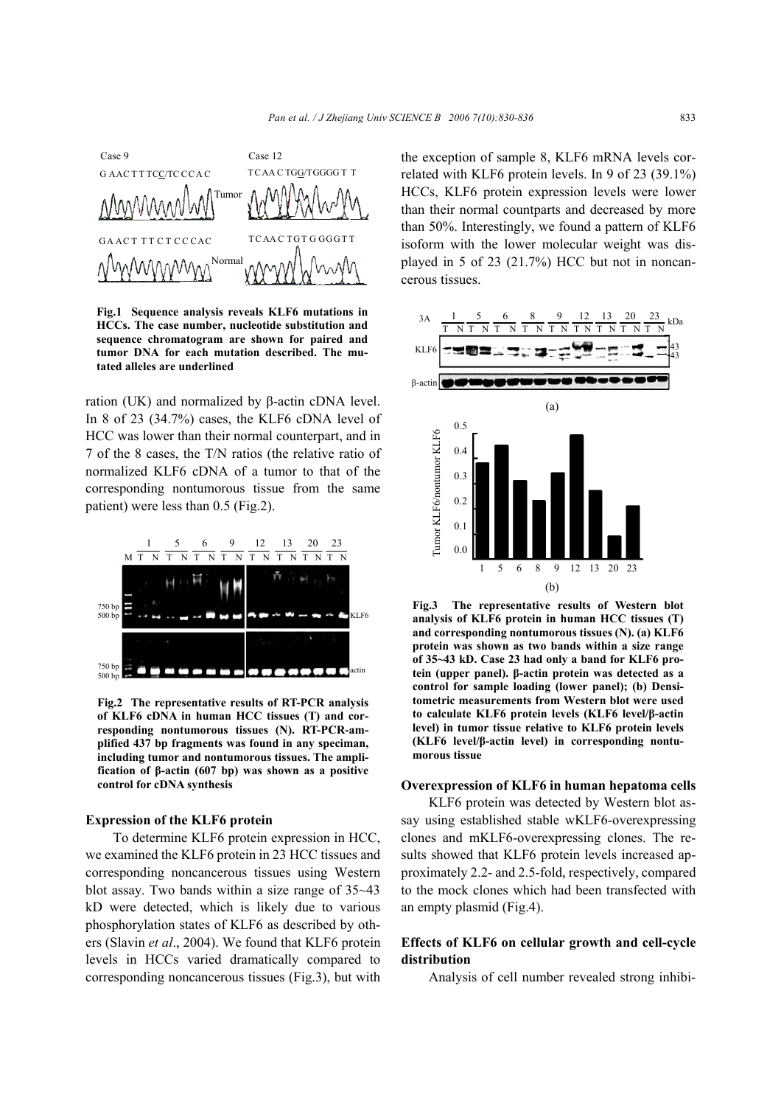

**Fig.1 Sequence analysis reveals KLF6 mutations in HCCs. The case number, nucleotide substitution and sequence chromatogram are shown for paired and tumor DNA for each mutation described. The mutated alleles are underlined** 

ration (UK) and normalized by β-actin cDNA level. In 8 of 23 (34.7%) cases, the KLF6 cDNA level of HCC was lower than their normal counterpart, and in 7 of the 8 cases, the T/N ratios (the relative ratio of normalized KLF6 cDNA of a tumor to that of the corresponding nontumorous tissue from the same patient) were less than 0.5 (Fig.2).



**Fig.2 The representative results of RT-PCR analysis of KLF6 cDNA in human HCC tissues (T) and corresponding nontumorous tissues (N). RT-PCR-amplified 437 bp fragments was found in any speciman, including tumor and nontumorous tissues. The amplification of β-actin (607 bp) was shown as a positive control for cDNA synthesis**

#### **Expression of the KLF6 protein**

To determine KLF6 protein expression in HCC, we examined the KLF6 protein in 23 HCC tissues and corresponding noncancerous tissues using Western blot assay. Two bands within a size range of 35~43 kD were detected, which is likely due to various phosphorylation states of KLF6 as described by others (Slavin *et al*., 2004). We found that KLF6 protein levels in HCCs varied dramatically compared to corresponding noncancerous tissues (Fig.3), but with the exception of sample 8, KLF6 mRNA levels correlated with KLF6 protein levels. In 9 of 23 (39.1%) HCCs, KLF6 protein expression levels were lower than their normal countparts and decreased by more than 50%. Interestingly, we found a pattern of KLF6 isoform with the lower molecular weight was displayed in 5 of 23 (21.7%) HCC but not in noncancerous tissues.



**Fig.3 The representative results of Western blot analysis of KLF6 protein in human HCC tissues (T) and corresponding nontumorous tissues (N). (a) KLF6 protein was shown as two bands within a size range of 35~43 kD. Case 23 had only a band for KLF6 protein (upper panel). β-actin protein was detected as a control for sample loading (lower panel); (b) Densitometric measurements from Western blot were used to calculate KLF6 protein levels (KLF6 level/β-actin level) in tumor tissue relative to KLF6 protein levels (KLF6 level/β-actin level) in corresponding nontumorous tissue** 

#### **Overexpression of KLF6 in human hepatoma cells**

KLF6 protein was detected by Western blot assay using established stable wKLF6-overexpressing clones and mKLF6-overexpressing clones. The results showed that KLF6 protein levels increased approximately 2.2- and 2.5-fold, respectively, compared to the mock clones which had been transfected with an empty plasmid (Fig.4).

## **Effects of KLF6 on cellular growth and cell-cycle distribution**

Analysis of cell number revealed strong inhibi-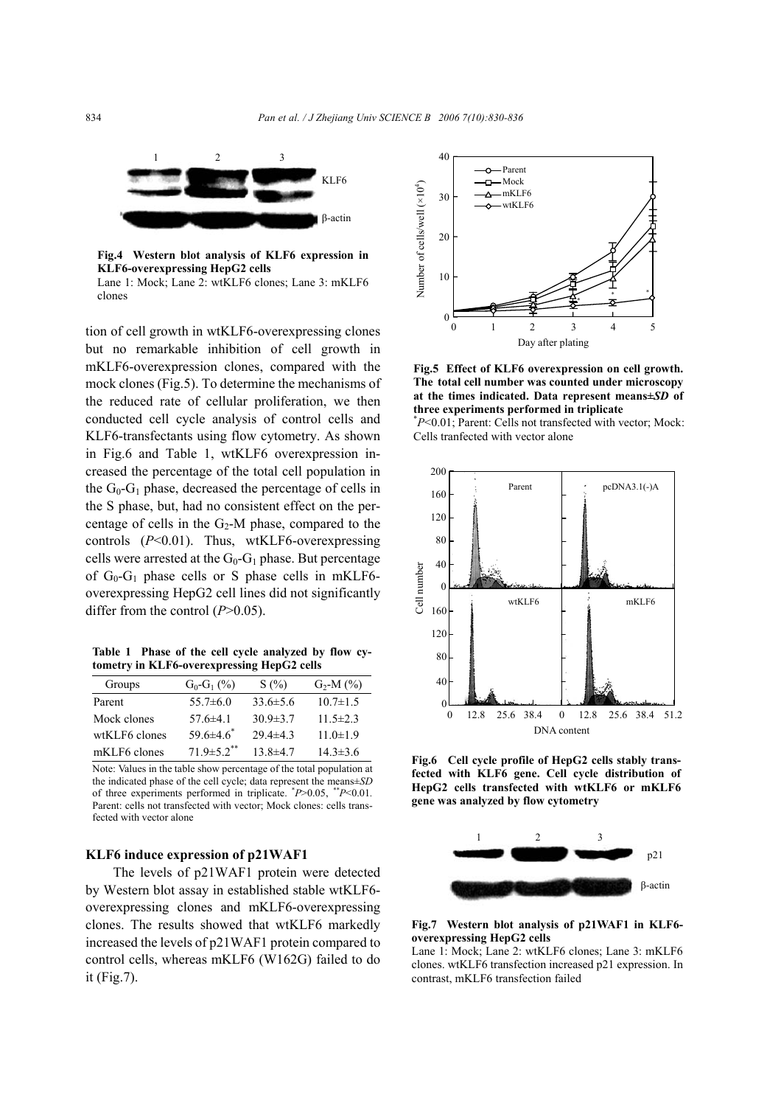

**Fig.4 Western blot analysis of KLF6 expression in KLF6-overexpressing HepG2 cells**  Lane 1: Mock; Lane 2: wtKLF6 clones; Lane 3: mKLF6 clones

tion of cell growth in wtKLF6-overexpressing clones but no remarkable inhibition of cell growth in mKLF6-overexpression clones, compared with the mock clones (Fig.5). To determine the mechanisms of the reduced rate of cellular proliferation, we then conducted cell cycle analysis of control cells and KLF6-transfectants using flow cytometry. As shown in Fig.6 and Table 1, wtKLF6 overexpression increased the percentage of the total cell population in the  $G_0$ - $G_1$  phase, decreased the percentage of cells in the S phase, but, had no consistent effect on the percentage of cells in the  $G_2$ -M phase, compared to the controls (*P*<0.01). Thus, wtKLF6-overexpressing cells were arrested at the  $G_0$ - $G_1$  phase. But percentage of  $G_0-G_1$  phase cells or S phase cells in mKLF6overexpressing HepG2 cell lines did not significantly differ from the control (*P*>0.05).

**Table 1 Phase of the cell cycle analyzed by flow cytometry in KLF6-overexpressing HepG2 cells** 

| Groups        | $G_0$ - $G_1$ (%)            | S(%)           | $G_2$ -M $(%)$ |
|---------------|------------------------------|----------------|----------------|
| Parent        | $55.7\pm 6.0$                | $33.6 \pm 5.6$ | $10.7 \pm 1.5$ |
| Mock clones   | $57.6 \pm 4.1$               | $30.9 \pm 3.7$ | $11.5 \pm 2.3$ |
| wtKLF6 clones | $59.6\pm4.6^*$               | $29.4 \pm 4.3$ | $11.0 \pm 1.9$ |
| mKLF6 clones  | 71 9 $\pm$ 5 2 <sup>**</sup> | 13 $8\pm 4$ 7  | $14.3 \pm 3.6$ |

Note: Values in the table show percentage of the total population at the indicated phase of the cell cycle; data represent the means±*SD* of three experiments performed in triplicate. \* *P*>0.05, *\*\*P*<0.01*.*  Parent: cells not transfected with vector; Mock clones: cells transfected with vector alone

### **KLF6 induce expression of p21WAF1**

The levels of p21WAF1 protein were detected by Western blot assay in established stable wtKLF6 overexpressing clones and mKLF6-overexpressing clones. The results showed that wtKLF6 markedly increased the levels of p21WAF1 protein compared to control cells, whereas mKLF6 (W162G) failed to do it (Fig.7).



**Fig.5 Effect of KLF6 overexpression on cell growth. The total cell number was counted under microscopy at the times indicated. Data represent means±***SD* **of three experiments performed in triplicate**  \* *P*<0.01; Parent: Cells not transfected with vector; Mock:

Cells tranfected with vector alone



**Fig.6 Cell cycle profile of HepG2 cells stably transfected with KLF6 gene. Cell cycle distribution of HepG2 cells transfected with wtKLF6 or mKLF6 gene was analyzed by flow cytometry**



#### **Fig.7 Western blot analysis of p21WAF1 in KLF6 overexpressing HepG2 cells**

Lane 1: Mock; Lane 2: wtKLF6 clones; Lane 3: mKLF6 clones. wtKLF6 transfection increased p21 expression. In contrast, mKLF6 transfection failed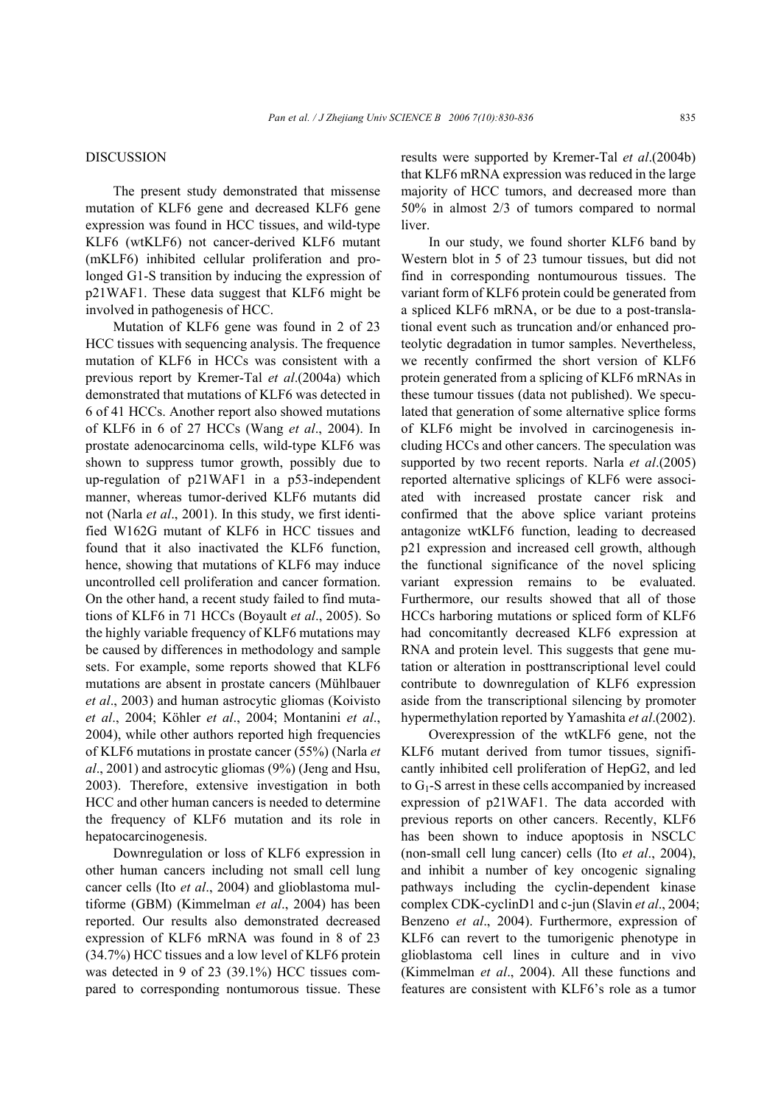#### DISCUSSION

The present study demonstrated that missense mutation of KLF6 gene and decreased KLF6 gene expression was found in HCC tissues, and wild-type KLF6 (wtKLF6) not cancer-derived KLF6 mutant (mKLF6) inhibited cellular proliferation and prolonged G1-S transition by inducing the expression of p21WAF1. These data suggest that KLF6 might be involved in pathogenesis of HCC.

Mutation of KLF6 gene was found in 2 of 23 HCC tissues with sequencing analysis. The frequence mutation of KLF6 in HCCs was consistent with a previous report by Kremer-Tal *et al*.(2004a) which demonstrated that mutations of KLF6 was detected in 6 of 41 HCCs. Another report also showed mutations of KLF6 in 6 of 27 HCCs (Wang *et al*., 2004). In prostate adenocarcinoma cells, wild-type KLF6 was shown to suppress tumor growth, possibly due to up-regulation of p21WAF1 in a p53-independent manner, whereas tumor-derived KLF6 mutants did not (Narla *et al*., 2001). In this study, we first identified W162G mutant of KLF6 in HCC tissues and found that it also inactivated the KLF6 function, hence, showing that mutations of KLF6 may induce uncontrolled cell proliferation and cancer formation. On the other hand, a recent study failed to find mutations of KLF6 in 71 HCCs (Boyault *et al*., 2005). So the highly variable frequency of KLF6 mutations may be caused by differences in methodology and sample sets. For example, some reports showed that KLF6 mutations are absent in prostate cancers (Mühlbauer *et al*., 2003) and human astrocytic gliomas (Koivisto *et al*., 2004; Köhler *et al*., 2004; Montanini *et al*., 2004), while other authors reported high frequencies of KLF6 mutations in prostate cancer (55%) (Narla *et al*., 2001) and astrocytic gliomas (9%) (Jeng and Hsu, 2003). Therefore, extensive investigation in both HCC and other human cancers is needed to determine the frequency of KLF6 mutation and its role in hepatocarcinogenesis.

Downregulation or loss of KLF6 expression in other human cancers including not small cell lung cancer cells (Ito *et al*., 2004) and glioblastoma multiforme (GBM) (Kimmelman *et al*., 2004) has been reported. Our results also demonstrated decreased expression of KLF6 mRNA was found in 8 of 23 (34.7%) HCC tissues and a low level of KLF6 protein was detected in 9 of 23 (39.1%) HCC tissues compared to corresponding nontumorous tissue. These results were supported by Kremer-Tal *et al*.(2004b) that KLF6 mRNA expression was reduced in the large majority of HCC tumors, and decreased more than 50% in almost 2/3 of tumors compared to normal liver.

In our study, we found shorter KLF6 band by Western blot in 5 of 23 tumour tissues, but did not find in corresponding nontumourous tissues. The variant form of KLF6 protein could be generated from a spliced KLF6 mRNA, or be due to a post-translational event such as truncation and/or enhanced proteolytic degradation in tumor samples. Nevertheless, we recently confirmed the short version of KLF6 protein generated from a splicing of KLF6 mRNAs in these tumour tissues (data not published). We speculated that generation of some alternative splice forms of KLF6 might be involved in carcinogenesis including HCCs and other cancers. The speculation was supported by two recent reports. Narla *et al*.(2005) reported alternative splicings of KLF6 were associated with increased prostate cancer risk and confirmed that the above splice variant proteins antagonize wtKLF6 function, leading to decreased p21 expression and increased cell growth, although the functional significance of the novel splicing variant expression remains to be evaluated. Furthermore, our results showed that all of those HCCs harboring mutations or spliced form of KLF6 had concomitantly decreased KLF6 expression at RNA and protein level. This suggests that gene mutation or alteration in posttranscriptional level could contribute to downregulation of KLF6 expression aside from the transcriptional silencing by promoter hypermethylation reported by Yamashita *et al*.(2002).

Overexpression of the wtKLF6 gene, not the KLF6 mutant derived from tumor tissues, significantly inhibited cell proliferation of HepG2, and led to G1-S arrest in these cells accompanied by increased expression of p21WAF1. The data accorded with previous reports on other cancers. Recently, KLF6 has been shown to induce apoptosis in NSCLC (non-small cell lung cancer) cells (Ito *et al*., 2004), and inhibit a number of key oncogenic signaling pathways including the cyclin-dependent kinase complex CDK-cyclinD1 and c-jun (Slavin *et al*., 2004; Benzeno *et al*., 2004). Furthermore, expression of KLF6 can revert to the tumorigenic phenotype in glioblastoma cell lines in culture and in vivo (Kimmelman *et al*., 2004). All these functions and features are consistent with KLF6's role as a tumor